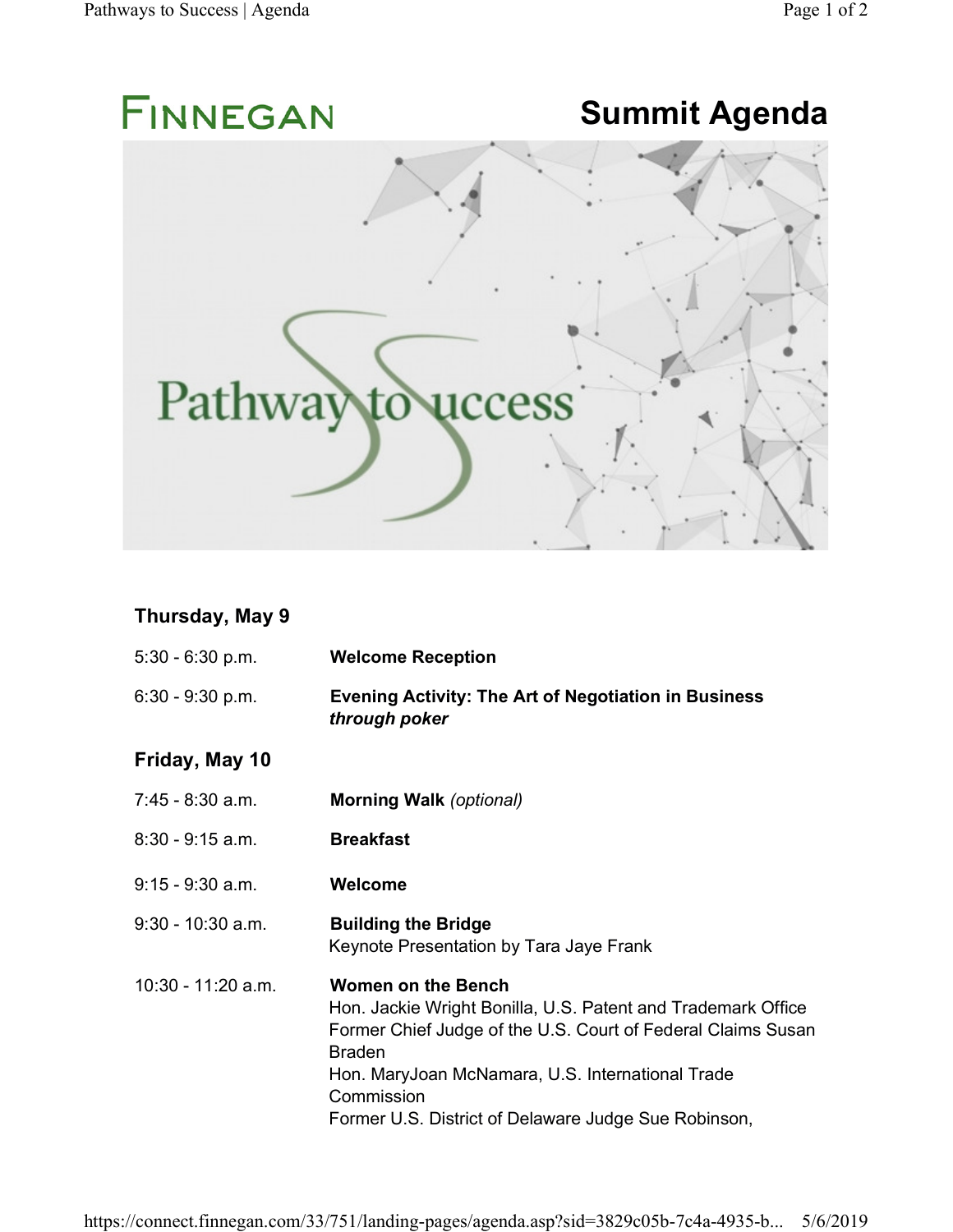

## **Thursday, May 9**

| $5:30 - 6:30 p.m.$  | <b>Welcome Reception</b>                                                                                                                                                                                                                                                                             |
|---------------------|------------------------------------------------------------------------------------------------------------------------------------------------------------------------------------------------------------------------------------------------------------------------------------------------------|
| $6:30 - 9:30$ p.m.  | <b>Evening Activity: The Art of Negotiation in Business</b><br>through poker                                                                                                                                                                                                                         |
| Friday, May 10      |                                                                                                                                                                                                                                                                                                      |
| 7:45 - 8:30 a.m.    | <b>Morning Walk (optional)</b>                                                                                                                                                                                                                                                                       |
| $8:30 - 9:15$ a.m.  | <b>Breakfast</b>                                                                                                                                                                                                                                                                                     |
| $9:15 - 9:30$ a.m.  | Welcome                                                                                                                                                                                                                                                                                              |
| $9:30 - 10:30$ a.m. | <b>Building the Bridge</b><br>Keynote Presentation by Tara Jaye Frank                                                                                                                                                                                                                                |
| 10:30 - 11:20 a.m.  | <b>Women on the Bench</b><br>Hon. Jackie Wright Bonilla, U.S. Patent and Trademark Office<br>Former Chief Judge of the U.S. Court of Federal Claims Susan<br><b>Braden</b><br>Hon. MaryJoan McNamara, U.S. International Trade<br>Commission<br>Former U.S. District of Delaware Judge Sue Robinson, |

https://connect.finnegan.com/33/751/landing-pages/agenda.asp?sid=3829c05b-7c4a-4935-b... 5/6/2019